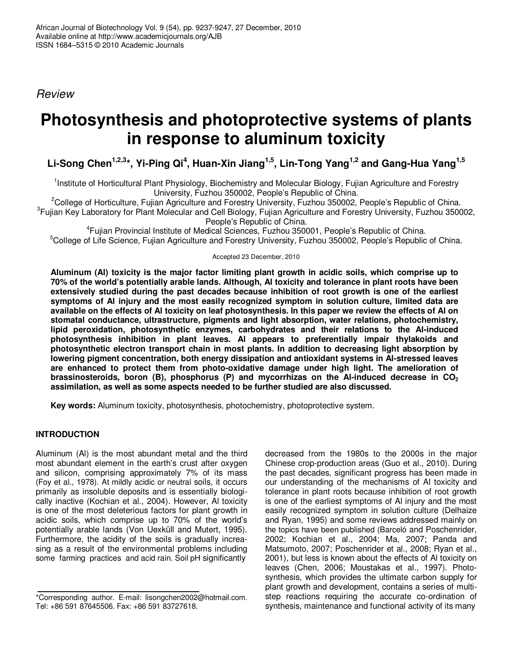*Review*

# **Photosynthesis and photoprotective systems of plants in response to aluminum toxicity**

Li-Song Chen<sup>1,2,3</sup>\*, Yi-Ping Qi<sup>4</sup>, Huan-Xin Jiang<sup>1,5</sup>, Lin-Tong Yang<sup>1,2</sup> and Gang-Hua Yang<sup>1,5</sup>

<sup>1</sup>Institute of Horticultural Plant Physiology, Biochemistry and Molecular Biology, Fujian Agriculture and Forestry University, Fuzhou 350002, People's Republic of China.

<sup>2</sup>College of Horticulture, Fujian Agriculture and Forestry University, Fuzhou 350002, People's Republic of China. <sup>3</sup>Fujian Key Laboratory for Plant Molecular and Cell Biology, Fujian Agriculture and Forestry University, Fuzhou 350002, People's Republic of China.

4 Fujian Provincial Institute of Medical Sciences, Fuzhou 350001, People's Republic of China. <sup>5</sup>College of Life Science, Fujian Agriculture and Forestry University, Fuzhou 350002, People's Republic of China.

Accepted 23 December, 2010

**Aluminum (Al) toxicity is the major factor limiting plant growth in acidic soils, which comprise up to 70% of the world's potentially arable lands. Although, Al toxicity and tolerance in plant roots have been extensively studied during the past decades because inhibition of root growth is one of the earliest symptoms of Al injury and the most easily recognized symptom in solution culture, limited data are** available on the effects of AI toxicity on leaf photosynthesis. In this paper we review the effects of AI on **stomatal conductance, ultrastructure, pigments and light absorption, water relations, photochemistry, lipid peroxidation, photosynthetic enzymes, carbohydrates and their relations to the Al-induced photosynthesis inhibition in plant leaves. Al appears to preferentially impair thylakoids and photosynthetic electron transport chain in most plants. In addition to decreasing light absorption by lowering pigment concentration, both energy dissipation and antioxidant systems in Al-stressed leaves are enhanced to protect them from photo-oxidative damage under high light. The amelioration of brassinosteroids, boron (B), phosphorus (P) and mycorrhizas on the Al-induced decrease in CO<sup>2</sup> assimilation, as well as some aspects needed to be further studied are also discussed.**

**Key words:** Aluminum toxicity, photosynthesis, photochemistry, photoprotective system.

# **INTRODUCTION**

Aluminum (Al) is the most abundant metal and the third most abundant element in the earth's crust after oxygen and silicon, comprising approximately 7% of its mass (Foy et al., 1978). At mildly acidic or neutral soils, it occurs primarily as insoluble deposits and is essentially biologically inactive (Kochian et al., 2004). However, Al toxicity is one of the most deleterious factors for plant growth in acidic soils, which comprise up to 70% of the world's potentially arable lands (Von Uexküll and Mutert, 1995). Furthermore, the acidity of the soils is gradually increasing as a result of the environmental problems including some farming practices and acid rain. Soil pH significantly

decreased from the 1980s to the 2000s in the major Chinese crop-production areas (Guo et al., 2010). During the past decades, significant progress has been made in our understanding of the mechanisms of Al toxicity and tolerance in plant roots because inhibition of root growth is one of the earliest symptoms of Al injury and the most easily recognized symptom in solution culture (Delhaize and Ryan, 1995) and some reviews addressed mainly on the topics have been published (Barceló and Poschenrider, 2002; Kochian et al., 2004; Ma, 2007; Panda and Matsumoto, 2007; Poschenrider et al., 2008; Ryan et al., 2001), but less is known about the effects of Al toxicity on leaves (Chen, 2006; Moustakas et al., 1997). Photosynthesis, which provides the ultimate carbon supply for plant growth and development, contains a series of multistep reactions requiring the accurate co-ordination of synthesis, maintenance and functional activity of its many

<sup>\*</sup>Corresponding author. E-mail: lisongchen2002@hotmail.com. Tel: +86 591 87645506. Fax: +86 591 83727618.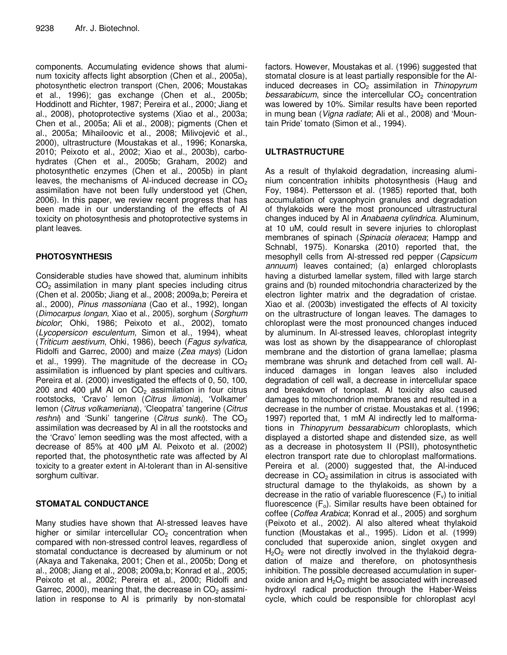components. Accumulating evidence shows that aluminum toxicity affects light absorption (Chen et al., 2005a), photosynthetic electron transport (Chen, 2006; Moustakas et al., 1996); gas exchange (Chen et al., 2005b; Hoddinott and Richter, 1987; Pereira et al., 2000; Jiang et al., 2008), photoprotective systems (Xiao et al., 2003a; Chen et al., 2005a; Ali et al., 2008); pigments (Chen et al., 2005a; Mihailoovic et al., 2008; Milivojević et al., 2000), ultrastructure (Moustakas et al., 1996; Konarska, 2010; Peixoto et al., 2002; Xiao et al., 2003b), carbohydrates (Chen et al., 2005b; Graham, 2002) and photosynthetic enzymes (Chen et al., 2005b) in plant leaves, the mechanisms of Al-induced decrease in  $CO<sub>2</sub>$ assimilation have not been fully understood yet (Chen, 2006). In this paper, we review recent progress that has been made in our understanding of the effects of Al toxicity on photosynthesis and photoprotective systems in plant leaves.

# **PHOTOSYNTHESIS**

Considerable studies have showed that, aluminum inhibits  $CO<sub>2</sub>$  assimilation in many plant species including citrus (Chen et al. 2005b; Jiang et al., 2008; 2009a,b; Pereira et al., 2000), *Pinus massoniana* (Cao et al., 1992), longan (*Dimocarpus longan*, Xiao et al., 2005), sorghum (*Sorghum bicolor*; Ohki, 1986; Peixoto et al., 2002), tomato (*Lycopersicon esculentum,* Simon et al., 1994), wheat (*Triticum aestivum*, Ohki, 1986), beech (*Fagus sylvatica,* Ridolfi and Garrec, 2000) and maize (*Zea mays*) (Lidon et al., 1999). The magnitude of the decrease in  $CO<sub>2</sub>$ assimilation is influenced by plant species and cultivars. Pereira et al. (2000) investigated the effects of 0, 50, 100, 200 and 400  $\mu$ M AI on CO<sub>2</sub> assimilation in four citrus rootstocks, 'Cravo' lemon (*Citrus limonia*), 'Volkamer' lemon (*Citrus volkameriana*), 'Cleopatra' tangerine (*Citrus reshni*) and 'Sunki' tangerine (*Citrus sunki*). The CO<sub>2</sub> assimilation was decreased by Al in all the rootstocks and the 'Cravo' lemon seedling was the most affected, with a decrease of 85% at 400 µM Al. Peixoto et al. (2002) reported that, the photosynthetic rate was affected by Al toxicity to a greater extent in Al-tolerant than in Al-sensitive sorghum cultivar.

# **STOMATAL CONDUCTANCE**

Many studies have shown that Al-stressed leaves have higher or similar intercellular  $CO<sub>2</sub>$  concentration when compared with non-stressed control leaves, regardless of stomatal conductance is decreased by aluminum or not (Akaya and Takenaka, 2001; Chen et al., 2005b; Dong et al., 2008; Jiang et al., 2008; 2009a,b; Konrad et al., 2005; Peixoto et al., 2002; Pereira et al., 2000; Ridolfi and Garrec, 2000), meaning that, the decrease in  $CO<sub>2</sub>$  assimilation in response to Al is primarily by non-stomatal

factors. However, Moustakas et al. (1996) suggested that stomatal closure is at least partially responsible for the Alinduced decreases in CO<sub>2</sub> assimilation in *Thinopyrum bessarabicum*, since the intercellular CO<sub>2</sub> concentration was lowered by 10%. Similar results have been reported in mung bean (*Vigna radiate*; Ali et al., 2008) and 'Mountain Pride' tomato (Simon et al., 1994).

# **ULTRASTRUCTURE**

As a result of thylakoid degradation, increasing aluminium concentration inhibits photosynthesis (Haug and Foy, 1984). Pettersson et al. (1985) reported that, both accumulation of cyanophycin granules and degradation of thylakoids were the most pronounced ultrastructural changes induced by Al in *Anabaena cylindrica*. Aluminum, at 10 uM, could result in severe injuries to chloroplast membranes of spinach (*Spinacia oleracea*; Hampp and Schnabl, 1975). Konarska (2010) reported that, the mesophyll cells from Al-stressed red pepper (*Capsicum annuum*) leaves contained; (a) enlarged chloroplasts having a disturbed lamellar system, filled with large starch grains and (b) rounded mitochondria characterized by the electron lighter matrix and the degradation of cristae. Xiao et al. (2003b) investigated the effects of Al toxicity on the ultrastructure of longan leaves. The damages to chloroplast were the most pronounced changes induced by aluminum. In Al-stressed leaves, chloroplast integrity was lost as shown by the disappearance of chloroplast membrane and the distortion of grana lamellae; plasma membrane was shrunk and detached from cell wall. Alinduced damages in longan leaves also included degradation of cell wall, a decrease in intercellular space and breakdown of tonoplast. Al toxicity also caused damages to mitochondrion membranes and resulted in a decrease in the number of cristae. Moustakas et al. (1996; 1997) reported that, 1 mM Al indirectly led to malformations in *Thinopyrum bessarabicum* chloroplasts, which displayed a distorted shape and distended size, as well as a decrease in photosystem II (PSII), photosynthetic electron transport rate due to chloroplast malformations. Pereira et al. (2000) suggested that, the Al-induced decrease in  $CO<sub>2</sub>$  assimilation in citrus is associated with structural damage to the thylakoids, as shown by a decrease in the ratio of variable fluorescence  $(F_v)$  to initial fluorescence  $(F_0)$ . Similar results have been obtained for coffee (*Coffea Arabica*; Konrad et al., 2005) and sorghum (Peixoto et al., 2002). Al also altered wheat thylakoid function (Moustakas et al., 1995). Lidon et al. (1999) concluded that superoxide anion, singlet oxygen and  $H<sub>2</sub>O<sub>2</sub>$  were not directly involved in the thylakoid degradation of maize and therefore, on photosynthesis inhibition. The possible decreased accumulation in superoxide anion and  $H_2O_2$  might be associated with increased hydroxyl radical production through the Haber-Weiss cycle, which could be responsible for chloroplast acyl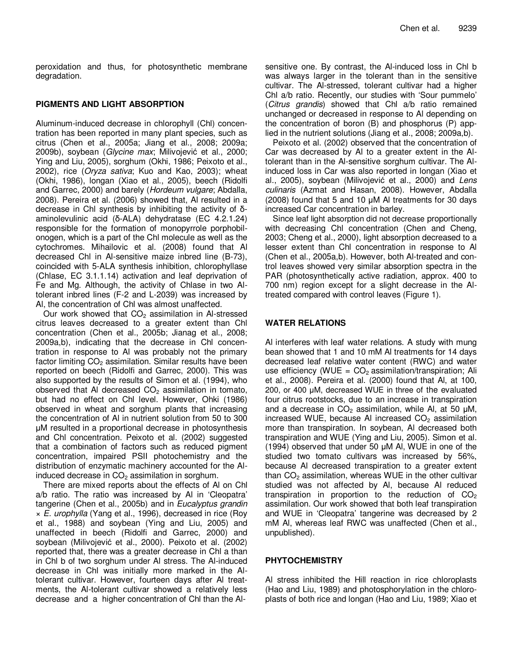peroxidation and thus, for photosynthetic membrane degradation.

## **PIGMENTS AND LIGHT ABSORPTION**

Aluminum-induced decrease in chlorophyll (Chl) concentration has been reported in many plant species, such as citrus (Chen et al., 2005a; Jiang et al., 2008; 2009a; 2009b), soybean (*Glycine max*; Milivojević et al., 2000; Ying and Liu, 2005), sorghum (Okhi, 1986; Peixoto et al., 2002), rice (*Oryza sativa*; Kuo and Kao, 2003); wheat (Okhi, 1986), longan (Xiao et al., 2005), beech (Ridolfi and Garrec, 2000) and barely (*Hordeum vulgare*; Abdalla, 2008). Pereira et al. (2006) showed that, Al resulted in a decrease in Chl synthesis by inhibiting the activity of  $\delta$ aminolevulinic acid  $(δ-ALA)$  dehydratase  $(EC 4.2.1.24)$ responsible for the formation of monopyrrole porphobilonogen, which is a part of the Chl molecule as well as the cytochromes. Mihailovic et al. (2008) found that Al decreased Chl in Al-sensitive maize inbred line (B-73), coincided with 5-ALA synthesis inhibition, chlorophyllase (Chlase, EC 3.1.1.14) activation and leaf deprivation of Fe and Mg. Although, the activity of Chlase in two Altolerant inbred lines (F-2 and L-2039) was increased by Al, the concentration of Chl was almost unaffected.

Our work showed that  $CO<sub>2</sub>$  assimilation in Al-stressed citrus leaves decreased to a greater extent than Chl concentration (Chen et al., 2005b; Jianag et al., 2008; 2009a,b), indicating that the decrease in Chl concentration in response to Al was probably not the primary factor limiting  $CO<sub>2</sub>$  assimilation. Similar results have been reported on beech (Ridolfi and Garrec, 2000). This was also supported by the results of Simon et al. (1994), who observed that Al decreased  $CO<sub>2</sub>$  assimilation in tomato, but had no effect on Chl level. However, Ohki (1986) observed in wheat and sorghum plants that increasing the concentration of Al in nutrient solution from 50 to 300 -M resulted in a proportional decrease in photosynthesis and Chl concentration. Peixoto et al. (2002) suggested that a combination of factors such as reduced pigment concentration, impaired PSII photochemistry and the distribution of enzymatic machinery accounted for the Alinduced decrease in  $CO<sub>2</sub>$  assimilation in sorghum.

There are mixed reports about the effects of Al on Chl a/b ratio. The ratio was increased by Al in 'Cleopatra' tangerine (Chen et al., 2005b) and in *Eucalyptus grandin* × *E. urophylla* (Yang et al., 1996), decreased in rice (Roy et al., 1988) and soybean (Ying and Liu, 2005) and unaffected in beech (Ridolfi and Garrec, 2000) and soybean (Milivojević et al., 2000). Peixoto et al. (2002) reported that, there was a greater decrease in Chl a than in Chl b of two sorghum under Al stress. The Al-induced decrease in Chl was initially more marked in the Altolerant cultivar. However, fourteen days after Al treatments, the Al-tolerant cultivar showed a relatively less decrease and a higher concentration of Chl than the Alsensitive one. By contrast, the Al-induced loss in Chl b was always larger in the tolerant than in the sensitive cultivar. The Al-stressed, tolerant cultivar had a higher Chl a/b ratio. Recently, our studies with 'Sour pummelo' (*Citrus grandis*) showed that Chl a/b ratio remained unchanged or decreased in response to Al depending on the concentration of boron (B) and phosphorus (P) applied in the nutrient solutions (Jiang et al., 2008; 2009a,b).

Peixoto et al. (2002) observed that the concentration of Car was decreased by Al to a greater extent in the Altolerant than in the Al-sensitive sorghum cultivar. The Alinduced loss in Car was also reported in longan (Xiao et al., 2005), soybean (Milivojević et al., 2000) and *Lens culinaris* (Azmat and Hasan, 2008). However, Abdalla  $(2008)$  found that 5 and 10  $\mu$ M AI treatments for 30 days increased Car concentration in barley.

Since leaf light absorption did not decrease proportionally with decreasing Chl concentration (Chen and Cheng, 2003; Cheng et al., 2000), light absorption decreased to a lesser extent than Chl concentration in response to Al (Chen et al., 2005a,b). However, both Al-treated and control leaves showed very similar absorption spectra in the PAR (photosynthetically active radiation, approx. 400 to 700 nm) region except for a slight decrease in the Altreated compared with control leaves (Figure 1).

## **WATER RELATIONS**

Al interferes with leaf water relations. A study with mung bean showed that 1 and 10 mM Al treatments for 14 days decreased leaf relative water content (RWC) and water use efficiency (WUE =  $CO<sub>2</sub>$  assimilation/transpiration; Ali et al., 2008). Pereira et al. (2000) found that Al, at 100, 200, or 400 µM, decreased WUE in three of the evaluated four citrus rootstocks, due to an increase in transpiration and a decrease in CO<sub>2</sub> assimilation, while Al, at 50  $\mu$ M, increased WUE, because AI increased  $CO<sub>2</sub>$  assimilation more than transpiration. In soybean, Al decreased both transpiration and WUE (Ying and Liu, 2005). Simon et al.  $(1994)$  observed that under 50  $\mu$ M AI, WUE in one of the studied two tomato cultivars was increased by 56%, because Al decreased transpiration to a greater extent than  $CO<sub>2</sub>$  assimilation, whereas WUE in the other cultivar studied was not affected by Al, because Al reduced transpiration in proportion to the reduction of  $CO<sub>2</sub>$ assimilation. Our work showed that both leaf transpiration and WUE in 'Cleopatra' tangerine was decreased by 2 mM Al, whereas leaf RWC was unaffected (Chen et al., unpublished).

#### **PHYTOCHEMISTRY**

Al stress inhibited the Hill reaction in rice chloroplasts (Hao and Liu, 1989) and photosphorylation in the chloroplasts of both rice and longan (Hao and Liu, 1989; Xiao et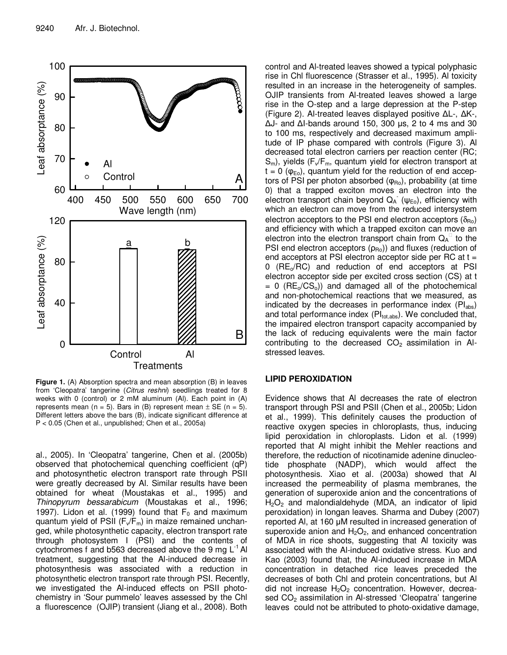

**Figure 1.** (A) Absorption spectra and mean absorption (B) in leaves from 'Cleopatra' tangerine (*Citrus reshni*) seedlings treated for 8 weeks with 0 (control) or 2 mM aluminum (Al). Each point in (A) represents mean (n = 5). Bars in (B) represent mean  $\pm$  SE (n = 5). Different letters above the bars (B), indicate significant difference at P < 0.05 (Chen et al., unpublished; Chen et al., 2005a)

al., 2005). In 'Cleopatra' tangerine, Chen et al. (2005b) observed that photochemical quenching coefficient (qP) and photosynthetic electron transport rate through PSII were greatly decreased by Al. Similar results have been obtained for wheat (Moustakas et al., 1995) and *Thinopyrum bessarabicum* (Moustakas et al., 1996; 1997). Lidon et al. (1999) found that  $F_0$  and maximum quantum yield of PSII  $(F_v/F_m)$  in maize remained unchanged, while photosynthetic capacity, electron transport rate through photosystem I (PSI) and the contents of cytochromes f and b563 decreased above the 9 mg  $\mathsf{L}^{\text{-1}}$  Al treatment, suggesting that the Al-induced decrease in photosynthesis was associated with a reduction in photosynthetic electron transport rate through PSI. Recently, we investigated the Al-induced effects on PSII photochemistry in 'Sour pummelo' leaves assessed by the Chl a fluorescence (OJIP) transient (Jiang et al., 2008). Both

control and Al-treated leaves showed a typical polyphasic rise in Chl fluorescence (Strasser et al., 1995). Al toxicity resulted in an increase in the heterogeneity of samples. OJIP transients from Al-treated leaves showed a large rise in the O-step and a large depression at the P-step (Figure 2). Al-treated leaves displayed positive  $\Delta L$ -,  $\Delta K$ -,  $\Delta$ J- and  $\Delta$ I-bands around 150, 300 µs, 2 to 4 ms and 30 to 100 ms, respectively and decreased maximum amplitude of IP phase compared with controls (Figure 3). Al decreased total electron carriers per reaction center (RC;  $S_m$ ), yields ( $F_v/F_m$ , quantum yield for electron transport at  $t = 0$  ( $\varphi_{E_0}$ ), quantum yield for the reduction of end acceptors of PSI per photon absorbed  $(\varphi_{\text{Ro}})$ , probability (at time 0) that a trapped exciton moves an electron into the electron transport chain beyond  $Q_A$  ( $\psi_{E_0}$ ), efficiency with which an electron can move from the reduced intersystem electron acceptors to the PSI end electron acceptors  $(\delta_{B_0})$ and efficiency with which a trapped exciton can move an electron into the electron transport chain from  $Q_A$  to the PSI end electron acceptors  $(\rho_{\rm Ro})$  and fluxes (reduction of end acceptors at PSI electron acceptor side per RC at t =  $0$  (RE<sub>o</sub>/RC) and reduction of end acceptors at PSI electron acceptor side per excited cross section (CS) at t  $= 0$  (RE<sub>o</sub>/CS<sub>o</sub>)) and damaged all of the photochemical and non-photochemical reactions that we measured, as indicated by the decreases in performance index  $(Pl_{abs})$ and total performance index  $(PI_{tot,abs})$ . We concluded that, the impaired electron transport capacity accompanied by the lack of reducing equivalents were the main factor contributing to the decreased  $CO<sub>2</sub>$  assimilation in Alstressed leaves.

#### **LIPID PEROXIDATION**

Evidence shows that Al decreases the rate of electron transport through PSI and PSII (Chen et al., 2005b; Lidon et al., 1999). This definitely causes the production of reactive oxygen species in chloroplasts, thus, inducing lipid peroxidation in chloroplasts. Lidon et al. (1999) reported that Al might inhibit the Mehler reactions and therefore, the reduction of nicotinamide adenine dinucleotide phosphate (NADP), which would affect the photosynthesis. Xiao et al. (2003a) showed that Al increased the permeability of plasma membranes, the generation of superoxide anion and the concentrations of  $H<sub>2</sub>O<sub>2</sub>$  and malondialdehyde (MDA, an indicator of lipid peroxidation) in longan leaves. Sharma and Dubey (2007) reported AI, at 160 µM resulted in increased generation of superoxide anion and  $H_2O_2$ , and enhanced concentration of MDA in rice shoots, suggesting that Al toxicity was associated with the Al-induced oxidative stress. Kuo and Kao (2003) found that, the Al-induced increase in MDA concentration in detached rice leaves preceded the decreases of both Chl and protein concentrations, but Al did not increase  $H_2O_2$  concentration. However, decreased CO<sub>2</sub> assimilation in Al-stressed 'Cleopatra' tangerine leaves could not be attributed to photo-oxidative damage,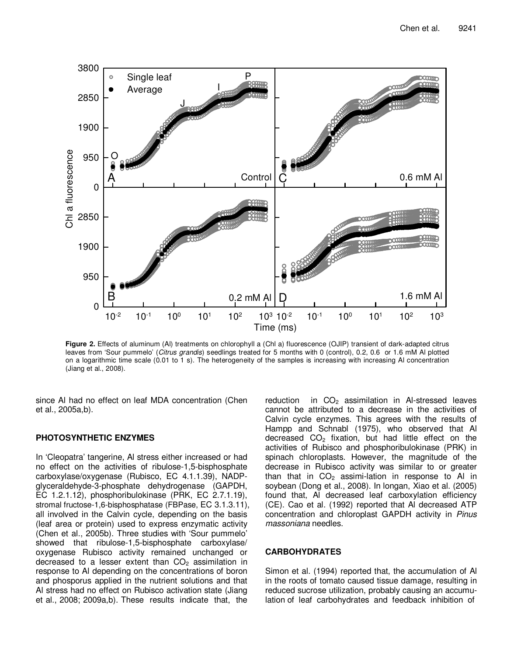

**Figure 2.** Effects of aluminum (Al) treatments on chlorophyll a (Chl a) fluorescence (OJIP) transient of dark-adapted citrus leaves from 'Sour pummelo' (*Citrus grandis*) seedlings treated for 5 months with 0 (control), 0.2, 0.6 or 1.6 mM Al plotted on a logarithmic time scale (0.01 to 1 s). The heterogeneity of the samples is increasing with increasing Al concentration (Jiang et al., 2008).

since Al had no effect on leaf MDA concentration (Chen et al., 2005a,b).

#### **PHOTOSYNTHETIC ENZYMES**

In 'Cleopatra' tangerine, Al stress either increased or had no effect on the activities of ribulose-1,5-bisphosphate carboxylase/oxygenase (Rubisco, EC 4.1.1.39), NADPglyceraldehyde-3-phosphate dehydrogenase (GAPDH, EC 1.2.1.12), phosphoribulokinase (PRK, EC 2.7.1.19), stromal fructose-1,6-bisphosphatase (FBPase, EC 3.1.3.11), all involved in the Calvin cycle, depending on the basis (leaf area or protein) used to express enzymatic activity (Chen et al., 2005b). Three studies with 'Sour pummelo' showed that ribulose-1,5-bisphosphate carboxylase/ oxygenase Rubisco activity remained unchanged or decreased to a lesser extent than  $CO<sub>2</sub>$  assimilation in response to Al depending on the concentrations of boron and phosporus applied in the nutrient solutions and that Al stress had no effect on Rubisco activation state (Jiang et al., 2008; 2009a,b). These results indicate that, the

reduction in  $CO<sub>2</sub>$  assimilation in Al-stressed leaves cannot be attributed to a decrease in the activities of Calvin cycle enzymes. This agrees with the results of Hampp and Schnabl (1975), who observed that Al decreased  $CO<sub>2</sub>$  fixation, but had little effect on the activities of Rubisco and phosphoribulokinase (PRK) in spinach chloroplasts. However, the magnitude of the decrease in Rubisco activity was similar to or greater than that in  $CO<sub>2</sub>$  assimi-lation in response to Al in soybean (Dong et al., 2008). In longan, Xiao et al. (2005) found that, Al decreased leaf carboxylation efficiency (CE). Cao et al. (1992) reported that Al decreased ATP concentration and chloroplast GAPDH activity in *Pinus massoniana* needles.

#### **CARBOHYDRATES**

Simon et al. (1994) reported that, the accumulation of Al in the roots of tomato caused tissue damage, resulting in reduced sucrose utilization, probably causing an accumulation of leaf carbohydrates and feedback inhibition of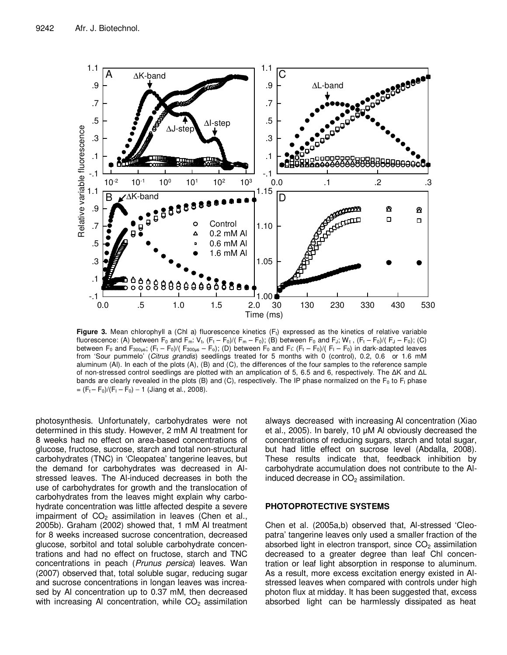

**Figure 3.** Mean chlorophyll a (Chl a) fluorescence kinetics (F<sub>t</sub>) expressed as the kinetics of relative variable fluorescence: (A) between  $F_0$  and  $F_m: V_t$ ,  $(F_t - F_0)/(F_m - F_0)$ ; (B) between  $F_0$  and  $F_j$ ;  $W_t$ ,  $(F_t - F_0)/(F_j - F_0)$ ; (C) between F<sub>0</sub> and F<sub>300µs</sub>; (F<sub>t</sub> – F<sub>0</sub>)/( F<sub>300µs</sub> – F<sub>0</sub>); (D) between F<sub>0</sub> and F<sub>I</sub>: (F<sub>t</sub> – F<sub>0</sub>)/( F<sub>I</sub> – F<sub>0</sub>) in dark-adapted leaves from 'Sour pummelo' (*Citrus grandis*) seedlings treated for 5 months with 0 (control), 0.2, 0.6 or 1.6 mM aluminum (Al). In each of the plots (A), (B) and (C), the differences of the four samples to the reference sample of non-stressed control seedlings are plotted with an amplication of 5, 6.5 and 6, respectively. The  $\Delta K$  and  $\Delta L$ bands are clearly revealed in the plots (B) and (C), respectively. The IP phase normalized on the  $F_0$  to  $F_1$  phase  $= (F_t - F_0)/(F_1 - F_0) - 1$  (Jiang et al., 2008).

photosynthesis. Unfortunately, carbohydrates were not determined in this study. However, 2 mM Al treatment for 8 weeks had no effect on area-based concentrations of glucose, fructose, sucrose, starch and total non-structural carbohydrates (TNC) in 'Cleopatea' tangerine leaves, but the demand for carbohydrates was decreased in Alstressed leaves. The Al-induced decreases in both the use of carbohydrates for growth and the translocation of carbohydrates from the leaves might explain why carbohydrate concentration was little affected despite a severe impairment of  $CO<sub>2</sub>$  assimilation in leaves (Chen et al., 2005b). Graham (2002) showed that, 1 mM Al treatment for 8 weeks increased sucrose concentration, decreased glucose, sorbitol and total soluble carbohydrate concentrations and had no effect on fructose, starch and TNC concentrations in peach (*Prunus persica*) leaves. Wan (2007) observed that, total soluble sugar, reducing sugar and sucrose concentrations in longan leaves was increased by Al concentration up to 0.37 mM, then decreased with increasing AI concentration, while  $CO<sub>2</sub>$  assimilation always decreased with increasing Al concentration (Xiao et al., 2005). In barely, 10 µM Al obviously decreased the concentrations of reducing sugars, starch and total sugar, but had little effect on sucrose level (Abdalla, 2008). These results indicate that, feedback inhibition by carbohydrate accumulation does not contribute to the Alinduced decrease in  $CO<sub>2</sub>$  assimilation.

#### **PHOTOPROTECTIVE SYSTEMS**

Chen et al. (2005a,b) observed that, Al-stressed 'Cleopatra' tangerine leaves only used a smaller fraction of the absorbed light in electron transport, since  $CO<sub>2</sub>$  assimilation decreased to a greater degree than leaf Chl concentration or leaf light absorption in response to aluminum. As a result, more excess excitation energy existed in Alstressed leaves when compared with controls under high photon flux at midday. It has been suggested that, excess absorbed light can be harmlessly dissipated as heat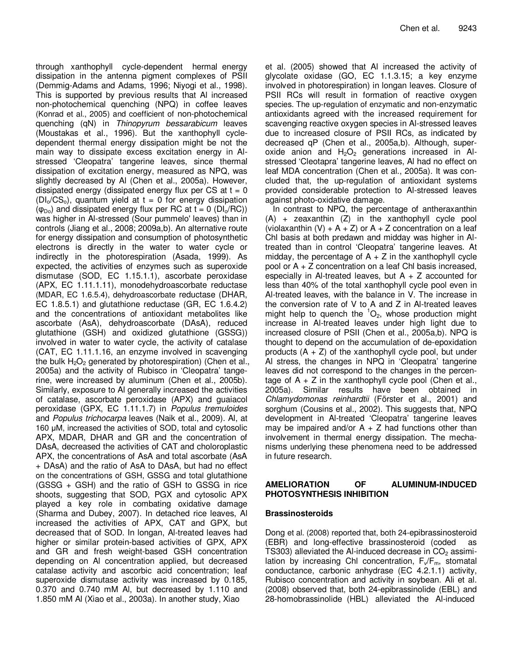through xanthophyll cycle-dependent hermal energy dissipation in the antenna pigment complexes of PSII (Demmig-Adams and Adams, 1996; Niyogi et al., 1998). This is supported by previous results that Al increased non-photochemical quenching (NPQ) in coffee leaves (Konrad et al., 2005) and coefficient of non-photochemical quenching (qN) in *Thinopyrum bessarabicum* leaves (Moustakas et al., 1996). But the xanthophyll cycledependent thermal energy dissipation might be not the main way to dissipate excess excitation energy in Alstressed 'Cleopatra' tangerine leaves, since thermal dissipation of excitation energy, measured as NPQ, was slightly decreased by Al (Chen et al., 2005a). However, dissipated energy (dissipated energy flux per CS at  $t = 0$  $(DI_0/CS_0)$ , quantum yield at t = 0 for energy dissipation  $(\varphi_{Do})$  and dissipated energy flux per RC at t = 0 (DI<sub>o</sub>/RC)) was higher in Al-stressed (Sour pummelo' leaves) than in controls (Jiang et al., 2008; 2009a,b). An alternative route for energy dissipation and consumption of photosynthetic electrons is directly in the water to water cycle or indirectly in the photorespiration (Asada, 1999). As expected, the activities of enzymes such as superoxide dismutase (SOD, EC 1.15.1.1), ascorbate peroxidase (APX, EC 1.11.1.11), monodehydroascorbate reductase (MDAR, EC 1.6.5.4), dehydroascorbate reductase (DHAR, EC 1.8.5.1) and glutathione reductase (GR, EC 1.6.4.2) and the concentrations of antioxidant metabolites like ascorbate (AsA), dehydroascorbate (DAsA), reduced glutathione (GSH) and oxidized glutathione (GSSG)) involved in water to water cycle, the activity of catalase (CAT, EC 1.11.1.16, an enzyme involved in scavenging the bulk  $H_2O_2$  generated by photorespiration) (Chen et al., 2005a) and the activity of Rubisco in 'Cleopatra' tangerine, were increased by aluminum (Chen et al., 2005b). Similarly, exposure to Al generally increased the activities of catalase, ascorbate peroxidase (APX) and guaiacol peroxidase (GPX, EC 1.11.1.7) in *Populus tremuloides* and *Populus trichocarpa* leaves (Naik et al., 2009). Al, at 160 µM, increased the activities of SOD, total and cytosolic APX, MDAR, DHAR and GR and the concentration of DAsA, decreased the activities of CAT and choloroplastic APX, the concentrations of AsA and total ascorbate (AsA + DAsA) and the ratio of AsA to DAsA, but had no effect on the concentrations of GSH, GSSG and total glutathione (GSSG + GSH) and the ratio of GSH to GSSG in rice shoots, suggesting that SOD, PGX and cytosolic APX played a key role in combating oxidative damage (Sharma and Dubey, 2007). In detached rice leaves, Al increased the activities of APX, CAT and GPX, but decreased that of SOD. In longan, Al-treated leaves had higher or similar protein-based activities of GPX, APX and GR and fresh weight-based GSH concentration depending on Al concentration applied, but decreased catalase activity and ascorbic acid concentration; leaf superoxide dismutase activity was increased by 0.185, 0.370 and 0.740 mM Al, but decreased by 1.110 and 1.850 mM Al (Xiao et al., 2003a). In another study, Xiao

et al. (2005) showed that Al increased the activity of glycolate oxidase (GO, EC 1.1.3.15; a key enzyme involved in photorespiration) in longan leaves. Closure of PSII RCs will result in formation of reactive oxygen species. The up-regulation of enzymatic and non-enzymatic antioxidants agreed with the increased requirement for scavenging reactive oxygen species in Al-stressed leaves due to increased closure of PSII RCs, as indicated by decreased qP (Chen et al., 2005a,b). Although, superoxide anion and  $H_2O_2$  generations increased in Alstressed 'Cleotapra' tangerine leaves, Al had no effect on leaf MDA concentration (Chen et al., 2005a). It was concluded that, the up-regulation of antioxidant systems provided considerable protection to Al-stressed leaves against photo-oxidative damage.

In contrast to NPQ, the percentage of antheraxanthin (A) + zeaxanthin (Z) in the xanthophyll cycle pool (violaxanthin  $(V) + A + Z$ ) or  $A + Z$  concentration on a leaf Chl basis at both predawn and midday was higher in Altreated than in control 'Cleopatra' tangerine leaves. At midday, the percentage of  $A + Z$  in the xanthophyll cycle pool or A + Z concentration on a leaf Chl basis increased, especially in Al-treated leaves, but  $A + Z$  accounted for less than 40% of the total xanthophyll cycle pool even in Al-treated leaves, with the balance in V. The increase in the conversion rate of V to A and Z in Al-treated leaves might help to quench the  ${}^{1}O_{2}$ , whose production might increase in Al-treated leaves under high light due to increased closure of PSII (Chen et al., 2005a,b). NPQ is thought to depend on the accumulation of de-epoxidation products  $(A + Z)$  of the xanthophyll cycle pool, but under Al stress, the changes in NPQ in 'Cleopatra' tangerine leaves did not correspond to the changes in the percentage of  $A + Z$  in the xanthophyll cycle pool (Chen et al., 2005a). Similar results have been obtained in *Chlamydomonas reinhardtii* (Förster et al., 2001) and sorghum (Cousins et al., 2002). This suggests that, NPQ development in Al-treated 'Cleopatra' tangerine leaves may be impaired and/or  $A + Z$  had functions other than involvement in thermal energy dissipation. The mechanisms underlying these phenomena need to be addressed in future research.

## **AMELIORATION OF ALUMINUM-INDUCED PHOTOSYNTHESIS INHIBITION**

#### **Brassinosteroids**

Dong et al. (2008) reported that, both 24-epibrassinosteroid (EBR) and long-effective brassinosteroid (coded as TS303) alleviated the Al-induced decrease in  $CO<sub>2</sub>$  assimilation by increasing Chl concentration,  $F_v/F_m$ , stomatal conductance, carbonic anhydrase (EC 4.2.1.1) activity, Rubisco concentration and activity in soybean. Ali et al. (2008) observed that, both 24-epibrassinolide (EBL) and 28-homobrassinolide (HBL) alleviated the Al-induced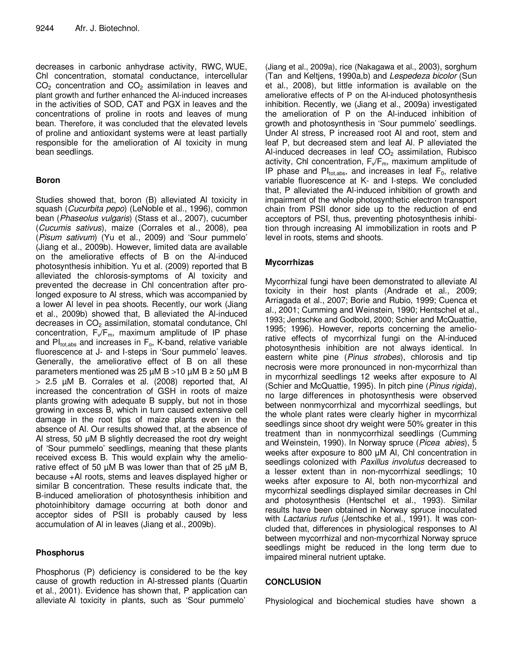decreases in carbonic anhydrase activity, RWC, WUE, Chl concentration, stomatal conductance, intercellular  $CO<sub>2</sub>$  concentration and  $CO<sub>2</sub>$  assimilation in leaves and plant growth and further enhanced the Al-induced increases in the activities of SOD, CAT and PGX in leaves and the concentrations of proline in roots and leaves of mung bean. Therefore, it was concluded that the elevated levels of proline and antioxidant systems were at least partially responsible for the amelioration of Al toxicity in mung bean seedlings.

## **Boron**

Studies showed that, boron (B) alleviated Al toxicity in squash (*Cucurbita pepo*) (LeNoble et al., 1996), common bean (*Phaseolus vulgaris*) (Stass et al., 2007), cucumber (*Cucumis sativus*), maize (Corrales et al., 2008), pea (*Pisum sativum*) (Yu et al., 2009) and 'Sour pummelo' (Jiang et al., 2009b). However, limited data are available on the ameliorative effects of B on the Al-induced photosynthesis inhibition. Yu et al. (2009) reported that B alleviated the chlorosis-symptoms of Al toxicity and prevented the decrease in Chl concentration after prolonged exposure to Al stress, which was accompanied by a lower Al level in pea shoots. Recently, our work (Jiang et al., 2009b) showed that, B alleviated the Al-induced decreases in  $CO<sub>2</sub>$  assimilation, stomatal condutance, ChI concentration,  $F_v/F_m$ , maximum amplitude of IP phase and  $PI_{\text{tot},\text{abs}}$  and increases in  $F_{\text{o}}$ , K-band, relative variable fluorescence at J- and I-steps in 'Sour pummelo' leaves. Generally, the ameliorative effect of B on all these parameters mentioned was 25  $\mu$ M B > 10  $\mu$ M B > 50  $\mu$ M B > 2.5 µM B. Corrales et al. (2008) reported that, Al increased the concentration of GSH in roots of maize plants growing with adequate B supply, but not in those growing in excess B, which in turn caused extensive cell damage in the root tips of maize plants even in the absence of Al. Our results showed that, at the absence of Al stress, 50 µM B slightly decreased the root dry weight of 'Sour pummelo' seedlings, meaning that these plants received excess B. This would explain why the ameliorative effect of 50  $\mu$ M B was lower than that of 25  $\mu$ M B, because +Al roots, stems and leaves displayed higher or similar B concentration. These results indicate that, the B-induced amelioration of photosynthesis inhibition and photoinhibitory damage occurring at both donor and acceptor sides of PSII is probably caused by less accumulation of Al in leaves (Jiang et al., 2009b).

## **Phosphorus**

Phosphorus (P) deficiency is considered to be the key cause of growth reduction in Al-stressed plants (Quartin et al., 2001). Evidence has shown that, P application can alleviate Al toxicity in plants, such as 'Sour pummelo'

(Jiang et al., 2009a), rice (Nakagawa et al., 2003), sorghum (Tan and Keltjens, 1990a,b) and *Lespedeza bicolor* (Sun et al., 2008), but little information is available on the ameliorative effects of P on the Al-induced photosynthesis inhibition. Recently, we (Jiang et al., 2009a) investigated the amelioration of P on the Al-induced inhibition of growth and photosynthesis in 'Sour pummelo' seedlings. Under Al stress, P increased root Al and root, stem and leaf P, but decreased stem and leaf Al. P alleviated the Al-induced decreases in leaf  $CO<sub>2</sub>$  assimilation, Rubisco activity, Chl concentration,  $F_v/F_m$ , maximum amplitude of IP phase and  $PI_{tot,abs}$ , and increases in leaf  $F_0$ , relative variable fluorescence at K- and I-steps. We concluded that, P alleviated the Al-induced inhibition of growth and impairment of the whole photosynthetic electron transport chain from PSII donor side up to the reduction of end acceptors of PSI, thus, preventing photosynthesis inhibition through increasing Al immobilization in roots and P level in roots, stems and shoots.

# **Mycorrhizas**

Mycorrhizal fungi have been demonstrated to alleviate Al toxicity in their host plants (Andrade et al., 2009; Arriagada et al., 2007; Borie and Rubio, 1999; Cuenca et al., 2001; Cumming and Weinstein, 1990; Hentschel et al., 1993; Jentschke and Godbold, 2000; Schier and McQuattie, 1995; 1996). However, reports concerning the ameliorative effects of mycorrhizal fungi on the Al-induced photosynthesis inhibition are not always identical. In eastern white pine (*Pinus strobes*), chlorosis and tip necrosis were more pronounced in non-mycorrhizal than in mycorrhizal seedlings 12 weeks after exposure to Al (Schier and McQuattie, 1995). In pitch pine (*Pinus rigida*), no large differences in photosynthesis were observed between nonmycorrhizal and mycorrhizal seedlings, but the whole plant rates were clearly higher in mycorrhizal seedlings since shoot dry weight were 50% greater in this treatment than in nonmycorrhizal seedlings (Cumming and Weinstein, 1990). In Norway spruce (*Picea abies*), 5 weeks after exposure to 800 µM Al, Chl concentration in seedlings colonized with *Paxillus involutus* decreased to a lesser extent than in non-mycorrhizal seedlings; 10 weeks after exposure to Al, both non-mycorrhizal and mycorrhizal seedlings displayed similar decreases in Chl and photosynthesis (Hentschel et al., 1993). Similar results have been obtained in Norway spruce inoculated with *Lactarius rufus* (Jentschke et al., 1991). It was concluded that, differences in physiological responses to Al between mycorrhizal and non-mycorrhizal Norway spruce seedlings might be reduced in the long term due to impaired mineral nutrient uptake.

## **CONCLUSION**

Physiological and biochemical studies have shown a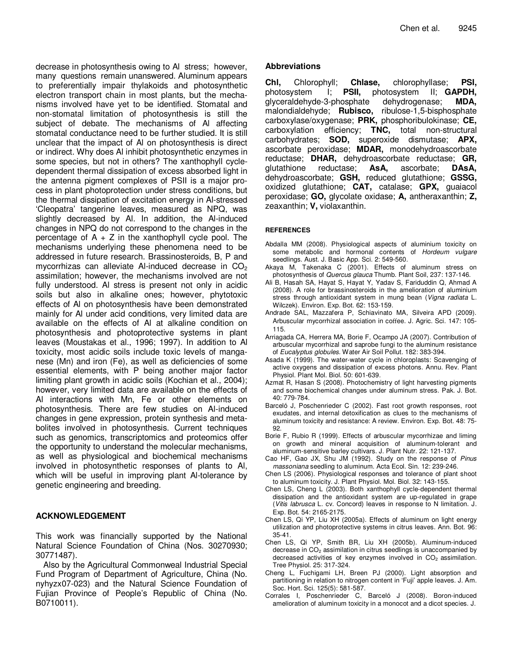decrease in photosynthesis owing to Al stress; however, many questions remain unanswered. Aluminum appears to preferentially impair thylakoids and photosynthetic electron transport chain in most plants, but the mechanisms involved have yet to be identified. Stomatal and non-stomatal limitation of photosynthesis is still the subject of debate. The mechanisms of Al affecting stomatal conductance need to be further studied. It is still unclear that the impact of Al on photosynthesis is direct or indirect. Why does Al inhibit photosynthetic enzymes in some species, but not in others? The xanthophyll cycledependent thermal dissipation of excess absorbed light in the antenna pigment complexes of PSII is a major process in plant photoprotection under stress conditions, but the thermal dissipation of excitation energy in Al-stressed 'Cleopatra' tangerine leaves, measured as NPQ, was slightly decreased by Al. In addition, the Al-induced changes in NPQ do not correspond to the changes in the percentage of  $A + Z$  in the xanthophyll cycle pool. The mechanisms underlying these phenomena need to be addressed in future research. Brassinosteroids, B, P and mycorrhizas can alleviate Al-induced decrease in  $CO<sub>2</sub>$ assimilation; however, the mechanisms involved are not fully understood. Al stress is present not only in acidic soils but also in alkaline ones; however, phytotoxic effects of Al on photosynthesis have been demonstrated mainly for Al under acid conditions, very limited data are available on the effects of Al at alkaline condition on photosynthesis and photoprotective systems in plant leaves (Moustakas et al., 1996; 1997). In addition to Al toxicity, most acidic soils include toxic levels of manganese (Mn) and iron (Fe), as well as deficiencies of some essential elements, with P being another major factor limiting plant growth in acidic soils (Kochian et al., 2004); however, very limited data are available on the effects of Al interactions with Mn, Fe or other elements on photosynthesis. There are few studies on Al-induced changes in gene expression, protein synthesis and metabolites involved in photosynthesis. Current techniques such as genomics, transcriptomics and proteomics offer the opportunity to understand the molecular mechanisms, as well as physiological and biochemical mechanisms involved in photosynthetic responses of plants to Al, which will be useful in improving plant Al-tolerance by genetic engineering and breeding.

#### **ACKNOWLEDGEMENT**

This work was financially supported by the National Natural Science Foundation of China (Nos. 30270930; 30771487).

Also by the Agricultural Commonweal Industrial Special Fund Program of Department of Agriculture, China (No. nyhyzx07-023) and the Natural Science Foundation of Fujian Province of People's Republic of China (No. B0710011).

#### **Abbreviations**

**Chl,** Chlorophyll; **Chlase,** chlorophyllase; **PSI,** photosystem I; **PSII,** photosystem II; **GAPDH,** glyceraldehyde-3-phosphate dehydrogenase; **MDA,** malondialdehyde; **Rubisco,** ribulose-1,5-bisphosphate carboxylase/oxygenase; **PRK,** phosphoribulokinase; **CE,** carboxylation efficiency; **TNC,** total non-structural carbohydrates; **SOD,** superoxide dismutase; **APX,** ascorbate peroxidase; **MDAR,** monodehydroascorbate reductase; **DHAR,** dehydroascorbate reductase; **GR,** glutathione reductase; **AsA,** ascorbate; **DAsA,** dehydroascorbate; **GSH,** reduced glutathione; **GSSG,** oxidized glutathione; **CAT,** catalase; **GPX,** guaiacol peroxidase; **GO,** glycolate oxidase; **A,** antheraxanthin; **Z,** zeaxanthin; **V,** violaxanthin.

#### **REFERENCES**

- Abdalla MM (2008). Physiological aspects of aluminium toxicity on some metabolic and hormonal contents of *Hordeum vulgare* seedlings. Aust. J. Basic App. Sci. 2: 549-560.
- Akaya M, Takenaka C (2001). Effects of aluminum stress on photosynthesis of *Quercus glauca* Thumb. Plant Soil, 237: 137-146.
- Ali B, Hasah SA, Hayat S, Hayat Y, Yadav S, Fariduddin Q, Ahmad A (2008). A role for brassinosteroids in the amelioration of aluminium stress through antioxidant system in mung bean (*Vigna radiata* L. Wilczek). Environ. Exp. Bot. 62: 153-159.
- Andrade SAL, Mazzafera P, Schiavinato MA, Silveira APD (2009). Arbuscular mycorrhizal association in coffee. J. Agric. Sci. 147: 105-115.
- Arriagada CA, Herrera MA, Borie F, Ocampo JA (2007). Contribution of arbuscular mycorrhizal and saprobe fungi to the aluminum resistance of *Eucalyptus globules*. Water Air Soil Pollut. 182: 383-394.
- Asada K (1999). The water-water cycle in chloroplasts: Scavenging of active oxygens and dissipation of excess photons. Annu. Rev. Plant Physiol. Plant Mol. Biol. 50: 601-639.
- Azmat R, Hasan S (2008). Photochemistry of light harvesting pigments and some biochemical changes under aluminum stress. Pak. J. Bot. 40: 779-784.
- Barceló J, Poschenrieder C (2002). Fast root growth responses, root exudates, and internal detoxification as clues to the mechanisms of aluminum toxicity and resistance: A review. Environ. Exp. Bot. 48: 75- 92.
- Borie F, Rubio R (1999). Effects of arbuscular mycorrhizae and liming on growth and mineral acquisition of aluminum-tolerant and aluminum-sensitive barley cultivars. J. Plant Nutr. 22: 121-137.
- Cao HF, Gao JX, Shu JM (1992). Study on the response of *Pinus massoniana* seedling to aluminum. Acta Ecol. Sin. 12: 239-246.
- Chen LS (2006). Physiological responses and tolerance of plant shoot to aluminum toxicity. J. Plant Physiol. Mol. Biol. 32: 143-155.
- Chen LS, Cheng L (2003). Both xanthophyll cycle-dependent thermal dissipation and the antioxidant system are up-regulated in grape (*Vitis labrusca* L. cv. Concord) leaves in response to N limitation. J. Exp. Bot. 54: 2165-2175.
- Chen LS, Qi YP, Liu XH (2005a). Effects of aluminum on light energy utilization and photoprotective systems in citrus leaves. Ann. Bot. 96: 35-41.
- Chen LS, Qi YP, Smith BR, Liu XH (2005b). Aluminum-induced decrease in  $CO<sub>2</sub>$  assimilation in citrus seedlings is unaccompanied by decreased activities of key enzymes involved in  $CO<sub>2</sub>$  assimilation. Tree Physiol. 25: 317-324.
- Cheng L, Fuchigami LH, Breen PJ (2000). Light absorption and partitioning in relation to nitrogen content in 'Fuji' apple leaves. J. Am. Soc. Hort. Sci. 125(5): 581-587.
- Corrales I, Poschenrieder C, Barceló J (2008). Boron-induced amelioration of aluminum toxicity in a monocot and a dicot species. J.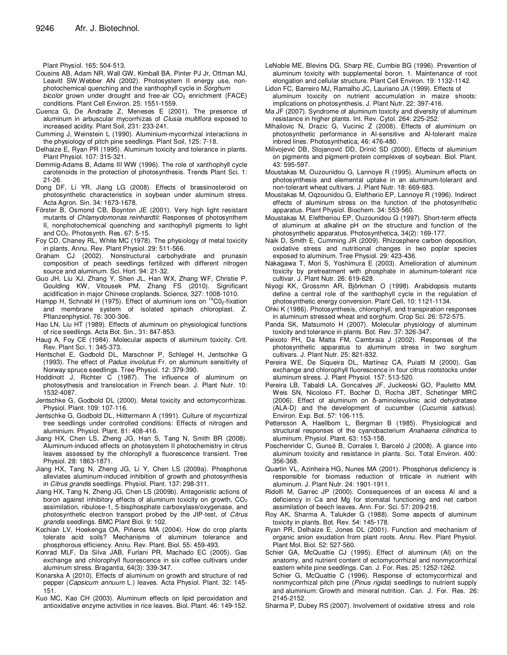Plant Physiol. 165: 504-513.

- Cousins AB, Adam NR, Wall GW, Kimball BA, Pinter PJ Jr, Ottman MJ, Leavitt SW,Webber AN (2002). Photosystem II energy use, nonphotochemical quenching and the xanthophyll cycle in *Sorghum bicolor* grown under drought and free-air CO<sub>2</sub> enrichment (FACE) conditions. Plant Cell Environ. 25: 1551-1559.
- Cuenca G, De Andrade Z, Meneses E (2001). The presence of aluminum in arbuscular mycorrhizas of *Clusia multiflora* exposed to increased acidity. Plant Soil, 231: 233-241.
- Cumming J, Weinstein L (1990). Aluminium-mycorrhizal interactions in the physiology of pitch pine seedlings. Plant Soil, 125: 7-18.
- Delhaize E, Ryan PR (1995). Aluminum toxicity and tolerance in plants. Plant Physiol. 107: 315-321.
- Demmig-Adams B, Adams III WW (1996). The role of xanthophyll cycle carotenoids in the protection of photosynthesis. Trends Plant Sci. 1: 21-26.
- Dong DF, Li YR, Jiang LG (2008). Effects of brassinosteroid on photosynthetic characteristics in soybean under aluminum stress. Acta Agron. Sin. 34: 1673-1678.
- Förster B, Osmond CB, Boynton JE (2001). Very high light resistant mutants of *Chlamydomonas reinhardtii*: Responses of photosynthem II, nonphotochemical quenching and xanthophyll pigments to light and CO<sub>2</sub>. Photosynth. Res. 67: 5-15.
- Foy CD, Chaney RL, White MC (1978). The physiology of metal toxicity in plants. Annu. Rev. Plant Physiol. 29: 511-566.
- Graham CJ (2002). Nonstructural carbohydrate and prunasin composition of peach seedlings fertilized with different nitrogen source and aluminum. Sci. Hort. 94: 21-32.
- Guo JH, Liu XJ, Zhang Y, Shen JL, Han WX, Zhang WF, Christie P, Goulding KW, Vitousek PM, Zhang FS (2010). Significant acidification in major Chinese croplands. Science, 327: 1008-1010.
- Hampp H, Schnabl H (1975). Effect of aluminum ions on <sup>14</sup>C0<sub>2</sub>-fixation and membrane system of isolated spinach chloroplast. Z. Pflanzenphysiol. 76: 300-306.
- Hao LN, Liu HT (1989). Effects of aluminum on physiological functions of rice seedlings. Acta Bot. Sin., 31: 847-853.
- Haug A, Foy CE (1984). Molecular aspects of aluminum toxicity. Crit. Rev. Plant Sci. 1: 345-373.
- Hentschel E, Godbold DL, Marschner P, Schlegel H, Jentschke G (1993). The effect of *Padus involutus* Fr. on aluminum sensitivity of Norway spruce seedlings. Tree Physiol. 12: 379-390.
- Hoddinott J, Richter C (1987). The influence of aluminum on photosythesis and translocation in French bean. J. Plant Nutr. 10: 1532-4087.
- Jentschke G, Godbold DL (2000). Metal toxicity and ectomycorrhizas. Physiol. Plant. 109: 107-116.
- Jentschke G, Godbold DL, Hiittermann A (1991). Culture of mycorrhizal tree seedlings under controlled conditions: Effects of nitrogen and aluminium. Physiol. Plant. 81: 408-416.
- Jiang HX, Chen LS, Zheng JG, Han S, Tang N, Smith BR (2008). Aluminum-induced effects on photosystem II photochemistry in citrus leaves assessed by the chlorophyll a fluorescence transient. Tree Physiol. 28: 1863-1871.
- Jiang HX, Tang N, Zheng JG, Li Y, Chen LS (2009a). Phosphorus alleviates aluminum-induced inhibition of growth and photosynthesis in *Citrus grandis* seedlings. Physiol. Plant. 137: 298-311.
- Jiang HX, Tang N, Zheng JG, Chen LS (2009b). Antagonistic actions of boron against inhibitory effects of aluminum toxicity on growth, CO<sub>2</sub> assimilation, ribulose-1, 5-bisphosphate carboxylase/oxygenase, and photosynthetic electron transport probed by the JIP-test, of *Citrus grandis* seedlings. BMC Plant Biol. 9: 102.
- Kochian LV, Hoekenga OA, Piñeros MA (2004). How do crop plants tolerate acid soils? Mechanisms of aluminum tolerance and phosphorous efficiency. Annu. Rev. Plant. Biol. 55: 459-493.
- Konrad MLF, Da Silva JAB, Furlani PR, Machado EC (2005). Gas exchange and chlorophyll fluorescence in six coffee cultivars under aluminum stress. Bragantia, 64(3): 339-347.
- Konarska A (2010). Effects of aluminum on growth and structure of red pepper (*Capsicum annuum* L.) leaves. Acta Physiol. Plant. 32: 145- 151.
- Kuo MC, Kao CH (2003). Aluminum effects on lipid peroxidation and antioxidative enzyme activities in rice leaves. Biol. Plant. 46: 149-152.
- LeNoble ME, Blevins DG, Sharp RE, Cumbie BG (1996). Prevention of aluminum toxicity with supplemental boron. 1. Maintenance of root elongation and cellular structure. Plant Cell Environ. 19: 1132-1142.
- Lidon FC, Barreiro MJ, Ramalho JC, Lauriano JA (1999). Effects of aluminum toxicity on nutrient accumulation in maize shoots: implications on photosynthesis. J. Plant Nutr. 22: 397-416.
- Ma JF (2007). Syndrome of aluminum toxicity and diversity of aluminum resistance in higher plants. Int. Rev. Cytol. 264: 225-252.
- Mihailovic N, Drazic G, Vucinic Z (2008). Effects of aluminium on photosynthetic performance in Al-sensitive and Al-tolerant maize inbred lines. Photosynthetica, 46: 476-480.
- Milivojević DB, Stojanović DD, Drinić SD (2000). Effects of aluminium on pigments and pigment-protein complexes of soybean. Biol. Plant. 43: 595-597.
- Moustakas M, Ouzounidou G, Lannoye R (1995). Aluminum effects on photosynthesis and elemental uptake in an aluminum-tolerant and non-tolerant wheat cultivars. J. Plant Nutr. 18: 669-683.
- Moustakas M, Oqzounidou G, Eleftherio EP, Lannoye R (1996). Indirect effects of aluminum stress on the function of the photosynthetic apparatus. Plant Physiol. Biochem. 34: 553-560.
- Moustakas M, Eleftheriou EP, Ouzounidou G (1997). Short-term effects of aluminum at alkaline pH on the structure and function of the photosynthetic apparatus. Photosynthetica, 34(2): 169-177.
- Naik D, Smith E, Cumming JR (2009). Rhizosphere carbon deposition, oxidative stress and nutritional changes in two poplar species exposed to aluminum. Tree Physiol. 29: 423-436.
- Nakagawa T, Mori S, Yoshimura E (2003). Amelioration of aluminum toxicity by pretreatment with phosphate in aluminum-tolerant rice cultivar. J. Plant Nutr. 26: 619-628.
- Niyogi KK, Grossmn AR, Björkman O (1998). Arabidopsis mutants define a central role of the xanthophyll cycle in the regulation of photosynthetic energy conversion. Plant Cell, 10: 1121-1134.
- Ohki K (1986). Photosynthesis, chlorophyll, and transpiration responses in aluminum stressed wheat and sorghum. Crop Sci. 26: 572-575.
- Panda SK, Matsumoto H (2007). Molecular physiology of aluminum toxicity and tolerance in plants. Bot. Rev. 37: 326-347.
- Peixoto PH, Da Matta FM, Cambraia J (2002). Responses of the photosynthetic apparatus to aluminum stress in two sorghum cultivars. J. Plant Nutr. 25: 821-832.
- Pereira WE, De Siqueira DL, Martinez CA, Puiatti M (2000). Gas exchange and chlorophyll fluorescence in four citrus rootstocks under aluminum stress. J. Plant Physiol. 157: 513-520.
- Pereira LB, Tabaldi LA, Goncalves JF, Juckeoski GO, Pauletto MM, Weis SN, Nicoloso FT, Bocher D, Rocha JBT, Schetinger MRC  $(2006)$ . Effect of aluminum on  $\delta$ -aminolevulinic acid dehydratase (ALA-D) and the development of cucumber (*Cucumis sativus*). Environ. Exp. Bot. 57: 106-115.
- Pettersson A, Haellbom L, Bergman B (1985). Physiological and structural responses of the cyanobacterium *Anahaena cilindrica* to aluminum. Physiol. Plant. 63: 153-158.
- Poschenrider C, Gunsé B, Corrales I, Barceló J (2008). A glance into aluminum toxicity and resistance in plants. Sci. Total Environ. 400: 356-368.
- Quartin VL, Azinheira HG, Nunes MA (2001). Phosphorus deficiency is responsible for biomass reduction of triticale in nutrient with aluminum. J. Plant Nutr. 24: 1901-1911.
- Ridolfi M, Garrec JP (2000). Consequences of an excess Al and a deficiency in Ca and Mg for stomatal functioning and net carbon assimilation of beech leaves. Ann. For. Sci. 57: 209-218.
- Roy AK, Sharma A, Talukder G (1988). Some aspects of aluminum toxicity in plants. Bot. Rev. 54: 145-178.
- Ryan PR, Delhaize E, Jones DL (2001). Function and mechanism of organic anion exudation from plant roots. Annu. Rev. Plant Physiol. Plant Mol. Biol. 52: 527-560.
- Schier GA, McQuattie CJ (1995). Effect of aluminum (Al) on the anatomy, and nutrient content of ectomycorrhizal and nonmycorrhizal eastern white pine seedlings. Can. J. For. Res. 25: 1252-1262.

Schier G, McQuattie C (1996). Response of ectomycorrhizal and nonmycorrhizal pitch pine (*Pinus rigida*) seedlings to nutrient supply and aluminium: Growth and mineral nutrition. Can. J. For. Res. 26: 2145-2152.

Sharma P, Dubey RS (2007). Involvement of oxidative stress and role